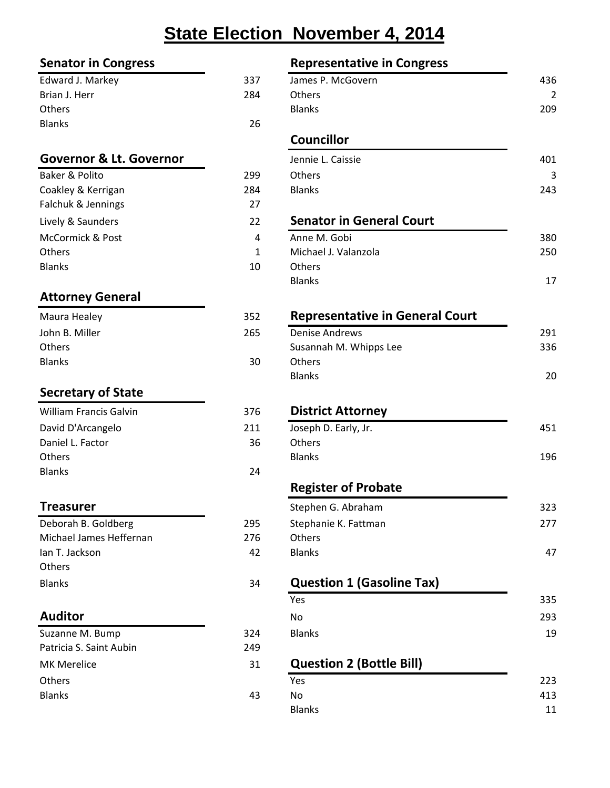# **State Election November 4, 2014**

#### **Senator in Congress Representative in Congress**

| Edward J. Markey | 337 |
|------------------|-----|
| Brian J. Herr    | 284 |
| <b>Others</b>    |     |
| <b>Blanks</b>    | 26  |
|                  |     |

#### **Governor & Lt. Governor**

| Baker & Polito     | 299 | <b>Others</b>                   |
|--------------------|-----|---------------------------------|
| Coakley & Kerrigan | 284 | <b>Blanks</b>                   |
| Falchuk & Jennings | 27  |                                 |
| Lively & Saunders  | 22  | <b>Senator in General Court</b> |
| McCormick & Post   | 4   | Anne M. Gobi                    |
| <b>Others</b>      | 1   | Michael J. Valanzola            |
| <b>Blanks</b>      | 10  | <b>Others</b>                   |
|                    |     |                                 |

### **Attorney General**

| Maura Healey   | 352 | Repre         |
|----------------|-----|---------------|
| John B. Miller | 265 | Denise        |
| <b>Others</b>  |     | Susann        |
| <b>Blanks</b>  | 30  | <b>Others</b> |
|                |     | وبلمسان       |

### **Secretary of State**

| <b>William Francis Galvin</b> | 376 | <b>Distri</b> |
|-------------------------------|-----|---------------|
| David D'Arcangelo             | 211 | Joseph        |
| Daniel L. Factor              | 36  | Others        |
| <b>Others</b>                 |     | <b>Blanks</b> |
| <b>Blanks</b>                 | 24  |               |

| Deborah B. Goldberg     | 295 | Stepha        |
|-------------------------|-----|---------------|
| Michael James Heffernan | 276 | Others        |
| lan T. Jackson          | 42  | <b>Blanks</b> |
| <b>Others</b>           |     |               |
| <b>Blanks</b>           | 34  | Ques          |

| Suzanne M. Bump         | 324 | <b>Blanks</b>                   |
|-------------------------|-----|---------------------------------|
| Patricia S. Saint Aubin | 249 |                                 |
| <b>MK Merelice</b>      | 31  | <b>Question 2 (Bottle Bill)</b> |
| <b>Others</b>           |     | Yes                             |
| <b>Blanks</b>           | 43  | Nο                              |
|                         |     | <b>Dianke</b>                   |

| Representative in Congress |  |
|----------------------------|--|

| JEHALUI III LUIIKIESS              |     | <b>NEPLESEIRALIVE III CUIRLESS</b> |     |
|------------------------------------|-----|------------------------------------|-----|
| Edward J. Markey                   | 337 | James P. McGovern                  | 436 |
| Brian J. Herr                      | 284 | <b>Others</b>                      | 2   |
| <b>Others</b>                      |     | <b>Blanks</b>                      | 209 |
| <b>Blanks</b>                      | 26  |                                    |     |
|                                    |     | <b>Councillor</b>                  |     |
| <b>Governor &amp; Lt. Governor</b> |     | Jennie L. Caissie                  | 401 |
| Baker & Polito                     | 299 | <b>Others</b>                      | 3   |
| Coakley & Kerrigan                 | 284 | <b>Blanks</b>                      | 243 |
| Falchuk & Jennings                 | 27  |                                    |     |
| Lively & Saunders                  | 22  | <b>Senator in General Court</b>    |     |
| McCormick & Post                   | 4   | Anne M. Gobi                       | 380 |
|                                    |     |                                    |     |

| Others        | <u>. на с</u> | Michael J. Valanzola | 250 |
|---------------|---------------|----------------------|-----|
| <b>Blanks</b> | 10            | Others               |     |
|               |               | <b>Blanks</b>        | 17  |

#### **Representative in General Court**

| John B. Miller | 265 | Denise Andrews         | 291 |
|----------------|-----|------------------------|-----|
| Others         |     | Susannah M. Whipps Lee | 336 |
| <b>Blanks</b>  | 30  | Others                 |     |
|                |     | <b>Blanks</b>          | 20  |

#### **District Attorney**

| David D'Arcangelo | 211 | Joseph D. Early, Jr. | 451 |
|-------------------|-----|----------------------|-----|
| Daniel L. Factor  | 36  | <b>Others</b>        |     |
| <b>Others</b>     |     | <b>Blanks</b>        | 196 |
| <b>Dlanks</b>     | י ה |                      |     |

#### **Register of Probate**

| <b>Treasurer</b>        |     | Stephen G. Abraham   | 323 |
|-------------------------|-----|----------------------|-----|
| Deborah B. Goldberg     | 295 | Stephanie K. Fattman | 277 |
| Michael James Heffernan | 276 | Others               |     |
| Ian T. Jackson          | 42  | <b>Blanks</b>        | 47  |

#### Blanks 34 **Question 1 (Gasoline Tax)**

|                         |     | Yes                             | 335 |
|-------------------------|-----|---------------------------------|-----|
| Auditor                 |     | No.                             | 293 |
| Suzanne M. Bump         | 324 | <b>Blanks</b>                   | 19  |
| Patricia S. Saint Aubin | 249 |                                 |     |
| <b>MK Merelice</b>      | 31  | <b>Question 2 (Bottle Bill)</b> |     |
| Others                  |     | Yes                             | 223 |
| <b>Blanks</b>           | 43  | No.                             | 413 |
|                         |     | <b>Blanks</b>                   | 11  |